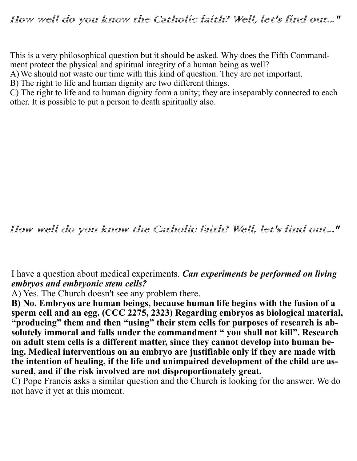## How well do you know the Catholic faith? Well, let's find out..."

This is a very philosophical question but it should be asked. Why does the Fifth Commandment protect the physical and spiritual integrity of a human being as well?

A)We should not waste our time with this kind of question. They are not important.

B) The right to life and human dignity are two different things.

C) The right to life and to human dignity form a unity; they are inseparably connected to each other. It is possible to put a person to death spiritually also.

How well do you know the Catholic faith? Well, let's find out..."

I have a question about medical experiments. *Can experiments be performed on living embryos and embryonic stem cells?*

A) Yes. The Church doesn't see any problem there.

**B) No. Embryos are human beings, because human life begins with the fusion of a sperm cell and an egg. (CCC 2275, 2323) Regarding embryos as biological material, "producing" them and then "using" their stem cells for purposes of research is absolutely immoral and falls under the commandment " you shall not kill". Research on adult stem cells is a different matter, since they cannot develop into human being. Medical interventions on an embryo are justifiable only if they are made with the intention of healing, if the life and unimpaired development of the child are assured, and if the risk involved are not disproportionately great.** 

C) Pope Francis asks a similar question and the Church is looking for the answer. We do not have it yet at this moment.